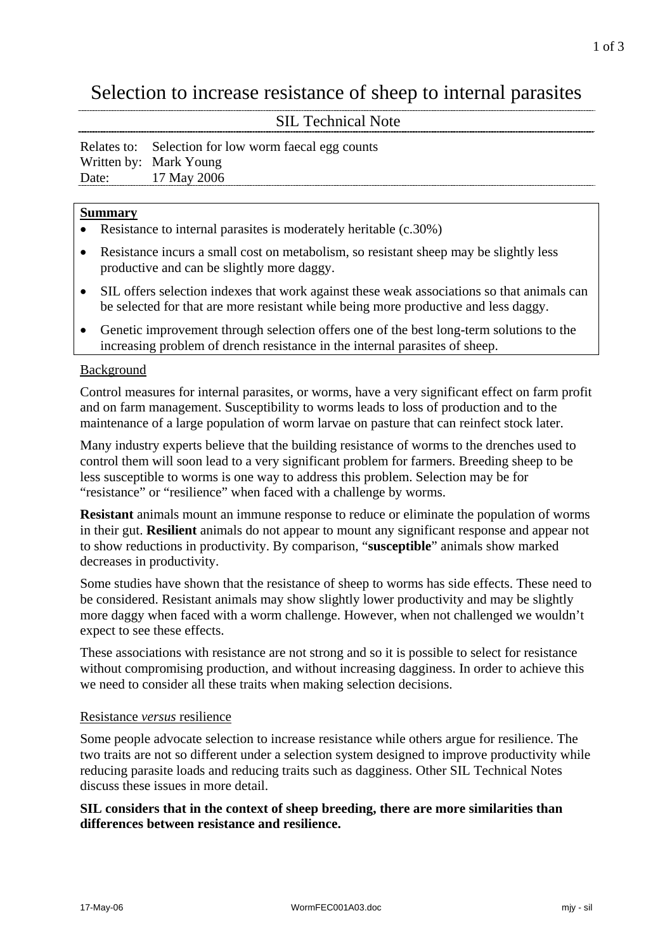# Selection to increase resistance of sheep to internal parasites

# SIL Technical Note

|       | Relates to: Selection for low worm faecal egg counts |
|-------|------------------------------------------------------|
|       | Written by: Mark Young                               |
| Date: | 17 May 2006                                          |

## **Summary**

- Resistance to internal parasites is moderately heritable (c.30%)
- Resistance incurs a small cost on metabolism, so resistant sheep may be slightly less productive and can be slightly more daggy.
- SIL offers selection indexes that work against these weak associations so that animals can be selected for that are more resistant while being more productive and less daggy.
- Genetic improvement through selection offers one of the best long-term solutions to the increasing problem of drench resistance in the internal parasites of sheep.

### Background

Control measures for internal parasites, or worms, have a very significant effect on farm profit and on farm management. Susceptibility to worms leads to loss of production and to the maintenance of a large population of worm larvae on pasture that can reinfect stock later.

Many industry experts believe that the building resistance of worms to the drenches used to control them will soon lead to a very significant problem for farmers. Breeding sheep to be less susceptible to worms is one way to address this problem. Selection may be for "resistance" or "resilience" when faced with a challenge by worms.

**Resistant** animals mount an immune response to reduce or eliminate the population of worms in their gut. **Resilient** animals do not appear to mount any significant response and appear not to show reductions in productivity. By comparison, "**susceptible**" animals show marked decreases in productivity.

Some studies have shown that the resistance of sheep to worms has side effects. These need to be considered. Resistant animals may show slightly lower productivity and may be slightly more daggy when faced with a worm challenge. However, when not challenged we wouldn't expect to see these effects.

These associations with resistance are not strong and so it is possible to select for resistance without compromising production, and without increasing dagginess. In order to achieve this we need to consider all these traits when making selection decisions.

### Resistance *versus* resilience

Some people advocate selection to increase resistance while others argue for resilience. The two traits are not so different under a selection system designed to improve productivity while reducing parasite loads and reducing traits such as dagginess. Other SIL Technical Notes discuss these issues in more detail.

### **SIL considers that in the context of sheep breeding, there are more similarities than differences between resistance and resilience.**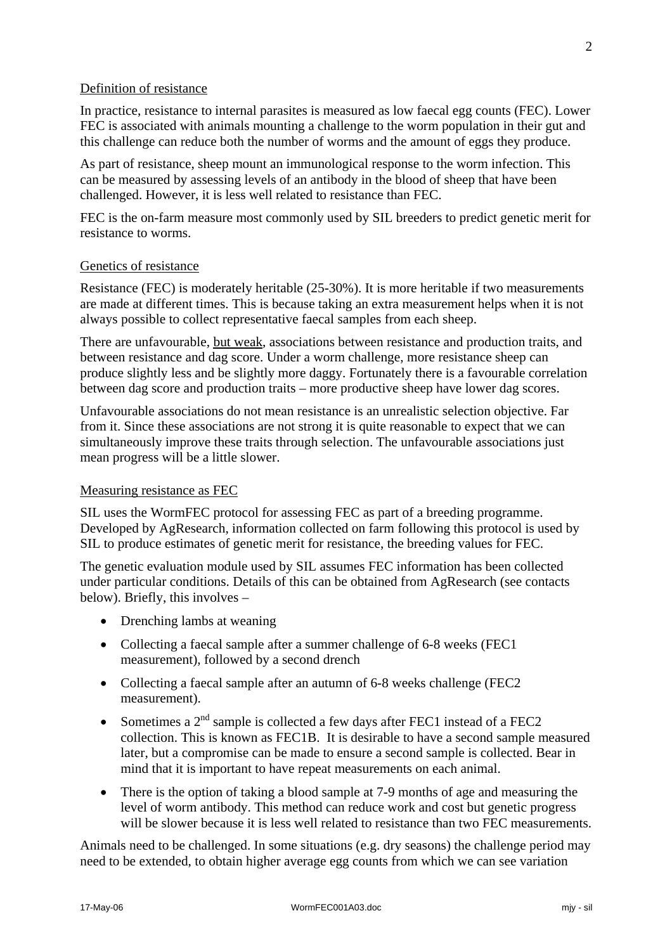#### Definition of resistance

In practice, resistance to internal parasites is measured as low faecal egg counts (FEC). Lower FEC is associated with animals mounting a challenge to the worm population in their gut and this challenge can reduce both the number of worms and the amount of eggs they produce.

As part of resistance, sheep mount an immunological response to the worm infection. This can be measured by assessing levels of an antibody in the blood of sheep that have been challenged. However, it is less well related to resistance than FEC.

FEC is the on-farm measure most commonly used by SIL breeders to predict genetic merit for resistance to worms.

#### Genetics of resistance

Resistance (FEC) is moderately heritable (25-30%). It is more heritable if two measurements are made at different times. This is because taking an extra measurement helps when it is not always possible to collect representative faecal samples from each sheep.

There are unfavourable, but weak, associations between resistance and production traits, and between resistance and dag score. Under a worm challenge, more resistance sheep can produce slightly less and be slightly more daggy. Fortunately there is a favourable correlation between dag score and production traits – more productive sheep have lower dag scores.

Unfavourable associations do not mean resistance is an unrealistic selection objective. Far from it. Since these associations are not strong it is quite reasonable to expect that we can simultaneously improve these traits through selection. The unfavourable associations just mean progress will be a little slower.

#### Measuring resistance as FEC

SIL uses the WormFEC protocol for assessing FEC as part of a breeding programme. Developed by AgResearch, information collected on farm following this protocol is used by SIL to produce estimates of genetic merit for resistance, the breeding values for FEC.

The genetic evaluation module used by SIL assumes FEC information has been collected under particular conditions. Details of this can be obtained from AgResearch (see contacts below). Briefly, this involves –

- Drenching lambs at weaning
- Collecting a faecal sample after a summer challenge of 6-8 weeks (FEC1 measurement), followed by a second drench
- Collecting a faecal sample after an autumn of 6-8 weeks challenge (FEC2) measurement).
- Sometimes a  $2<sup>nd</sup>$  sample is collected a few days after FEC1 instead of a FEC2 collection. This is known as FEC1B. It is desirable to have a second sample measured later, but a compromise can be made to ensure a second sample is collected. Bear in mind that it is important to have repeat measurements on each animal.
- There is the option of taking a blood sample at 7-9 months of age and measuring the level of worm antibody. This method can reduce work and cost but genetic progress will be slower because it is less well related to resistance than two FEC measurements.

Animals need to be challenged. In some situations (e.g. dry seasons) the challenge period may need to be extended, to obtain higher average egg counts from which we can see variation